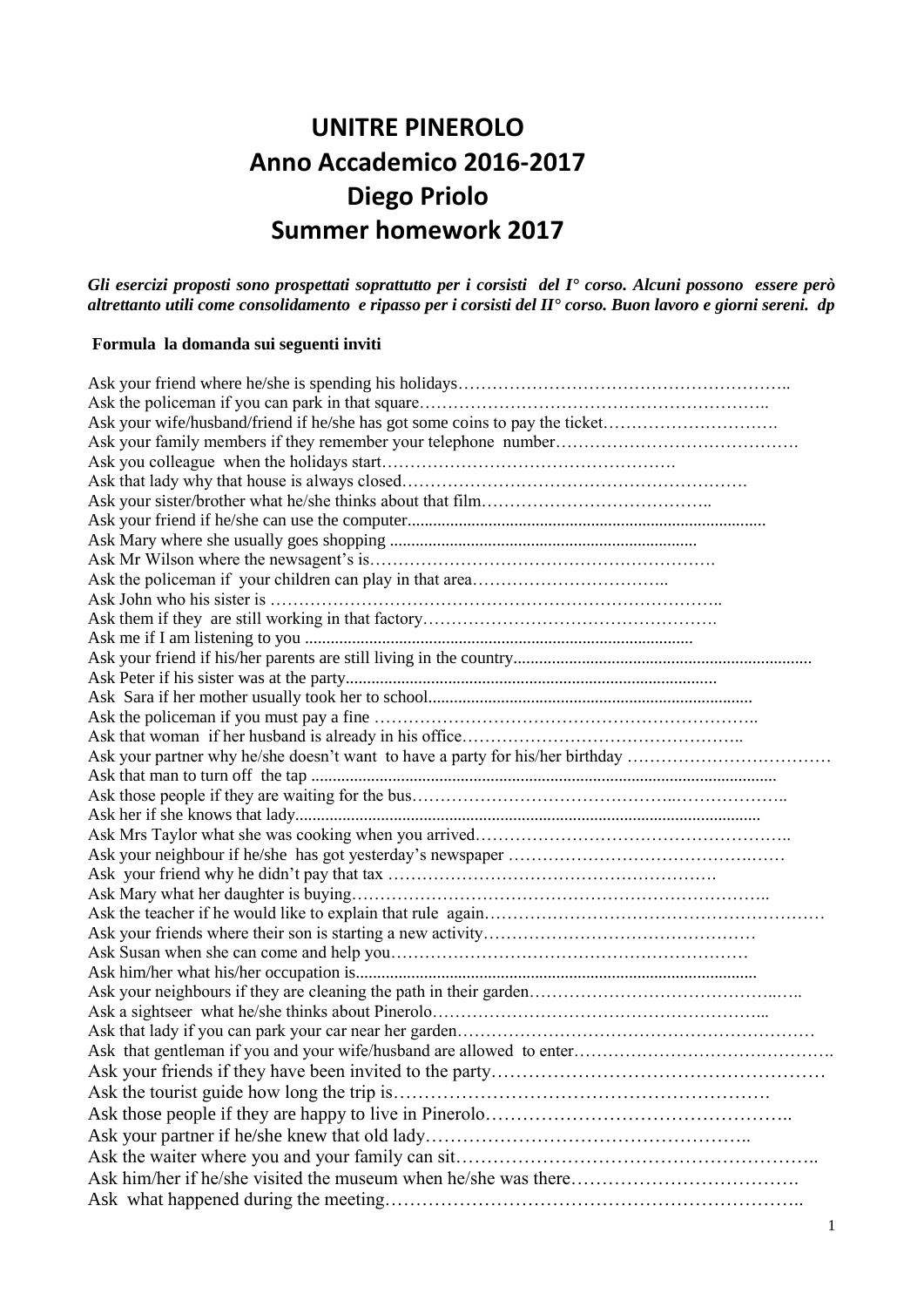# **UNITRE PINEROLO Anno Accademico 2016-2017 Diego Priolo Summer homework 2017**

*Gli esercizi proposti sono prospettati soprattutto per i corsisti del I° corso. Alcuni possono essere però altrettanto utili come consolidamento e ripasso per i corsisti del II° corso. Buon lavoro e giorni sereni. dp*

#### **Formula la domanda sui seguenti inviti**

| Ask your wife/husband/friend if he/she has got some coins to pay the ticket   |
|-------------------------------------------------------------------------------|
|                                                                               |
|                                                                               |
|                                                                               |
|                                                                               |
|                                                                               |
|                                                                               |
|                                                                               |
|                                                                               |
|                                                                               |
|                                                                               |
|                                                                               |
|                                                                               |
|                                                                               |
|                                                                               |
|                                                                               |
|                                                                               |
| Ask your partner why he/she doesn't want to have a party for his/her birthday |
|                                                                               |
|                                                                               |
|                                                                               |
|                                                                               |
|                                                                               |
|                                                                               |
|                                                                               |
|                                                                               |
|                                                                               |
|                                                                               |
|                                                                               |
|                                                                               |
|                                                                               |
|                                                                               |
|                                                                               |
|                                                                               |
|                                                                               |
|                                                                               |
|                                                                               |
|                                                                               |
|                                                                               |
|                                                                               |
|                                                                               |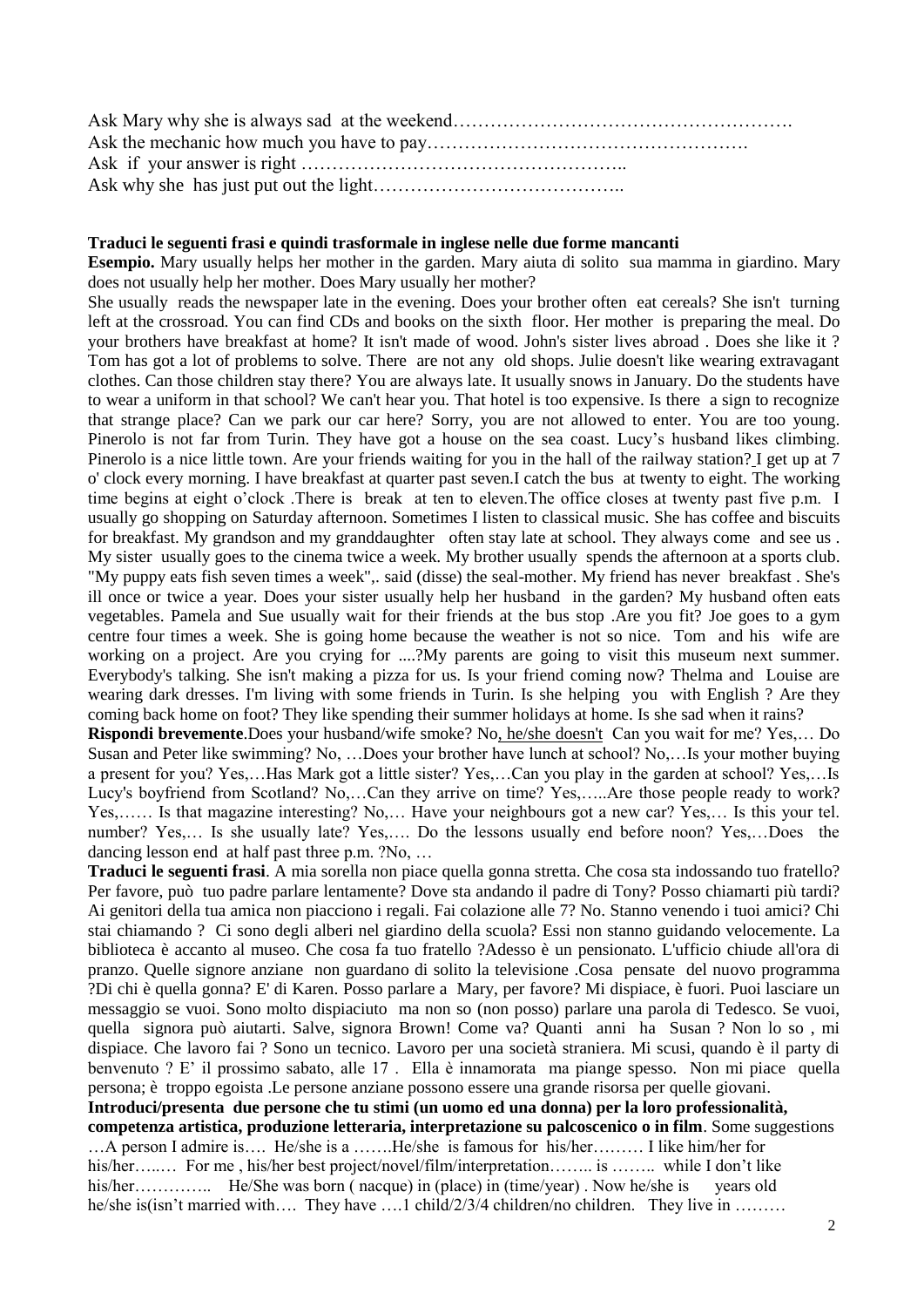Ask Mary why she is always sad at the weekend………………………………………………. Ask the mechanic how much you have to pay……………………………………………. Ask if your answer is right …………………………………………….. Ask why she has just put out the light…………………………………..

#### **Traduci le seguenti frasi e quindi trasformale in inglese nelle due forme mancanti**

**Esempio.** Mary usually helps her mother in the garden. Mary aiuta di solito sua mamma in giardino. Mary does not usually help her mother. Does Mary usually her mother?

She usually reads the newspaper late in the evening. Does your brother often eat cereals? She isn't turning left at the crossroad. You can find CDs and books on the sixth floor. Her mother is preparing the meal. Do your brothers have breakfast at home? It isn't made of wood. John's sister lives abroad . Does she like it ? Tom has got a lot of problems to solve. There are not any old shops. Julie doesn't like wearing extravagant clothes. Can those children stay there? You are always late. It usually snows in January. Do the students have to wear a uniform in that school? We can't hear you. That hotel is too expensive. Is there a sign to recognize that strange place? Can we park our car here? Sorry, you are not allowed to enter. You are too young. Pinerolo is not far from Turin. They have got a house on the sea coast. Lucy's husband likes climbing. Pinerolo is a nice little town. Are your friends waiting for you in the hall of the railway station? I get up at 7 o' clock every morning. I have breakfast at quarter past seven.I catch the bus at twenty to eight. The working time begins at eight o'clock .There is break at ten to eleven.The office closes at twenty past five p.m. I usually go shopping on Saturday afternoon. Sometimes I listen to classical music. She has coffee and biscuits for breakfast. My grandson and my granddaughter often stay late at school. They always come and see us . My sister usually goes to the cinema twice a week. My brother usually spends the afternoon at a sports club. "My puppy eats fish seven times a week",. said (disse) the seal-mother. My friend has never breakfast . She's ill once or twice a year. Does your sister usually help her husband in the garden? My husband often eats vegetables. Pamela and Sue usually wait for their friends at the bus stop .Are you fit? Joe goes to a gym centre four times a week. She is going home because the weather is not so nice. Tom and his wife are working on a project. Are you crying for ....?My parents are going to visit this museum next summer. Everybody's talking. She isn't making a pizza for us. Is your friend coming now? Thelma and Louise are wearing dark dresses. I'm living with some friends in Turin. Is she helping you with English ? Are they coming back home on foot? They like spending their summer holidays at home. Is she sad when it rains?

**Rispondi brevemente**.Does your husband/wife smoke? No, he/she doesn't Can you wait for me? Yes,… Do Susan and Peter like swimming? No, …Does your brother have lunch at school? No,…Is your mother buying a present for you? Yes,…Has Mark got a little sister? Yes,…Can you play in the garden at school? Yes,…Is Lucy's boyfriend from Scotland? No,…Can they arrive on time? Yes,…..Are those people ready to work? Yes,…… Is that magazine interesting? No,… Have your neighbours got a new car? Yes,… Is this your tel. number? Yes,… Is she usually late? Yes,…. Do the lessons usually end before noon? Yes,…Does the dancing lesson end at half past three p.m. ?No, …

**Traduci le seguenti frasi**. A mia sorella non piace quella gonna stretta. Che cosa sta indossando tuo fratello? Per favore, può tuo padre parlare lentamente? Dove sta andando il padre di Tony? Posso chiamarti più tardi? Ai genitori della tua amica non piacciono i regali. Fai colazione alle 7? No. Stanno venendo i tuoi amici? Chi stai chiamando ? Ci sono degli alberi nel giardino della scuola? Essi non stanno guidando velocemente. La biblioteca è accanto al museo. Che cosa fa tuo fratello ?Adesso è un pensionato. L'ufficio chiude all'ora di pranzo. Quelle signore anziane non guardano di solito la televisione .Cosa pensate del nuovo programma ?Di chi è quella gonna? E' di Karen. Posso parlare a Mary, per favore? Mi dispiace, è fuori. Puoi lasciare un messaggio se vuoi. Sono molto dispiaciuto ma non so (non posso) parlare una parola di Tedesco. Se vuoi, quella signora può aiutarti. Salve, signora Brown! Come va? Quanti anni ha Susan ? Non lo so , mi dispiace. Che lavoro fai ? Sono un tecnico. Lavoro per una società straniera. Mi scusi, quando è il party di benvenuto ? E' il prossimo sabato, alle 17 . Ella è innamorata ma piange spesso. Non mi piace quella persona; è troppo egoista .Le persone anziane possono essere una grande risorsa per quelle giovani.

**Introduci/presenta due persone che tu stimi (un uomo ed una donna) per la loro professionalità, competenza artistica, produzione letteraria, interpretazione su palcoscenico o in film**. Some suggestions …A person I admire is…. He/she is a …….He/she is famous for his/her……… I like him/her for his/her…...... For me, his/her best project/novel/film/interpretation…….. is …….. while I don't like his/her…………... He/She was born (nacque) in (place) in (time/year). Now he/she is years old he/she is(isn't married with…. They have ….1 child/2/3/4 children/no children. They live in ………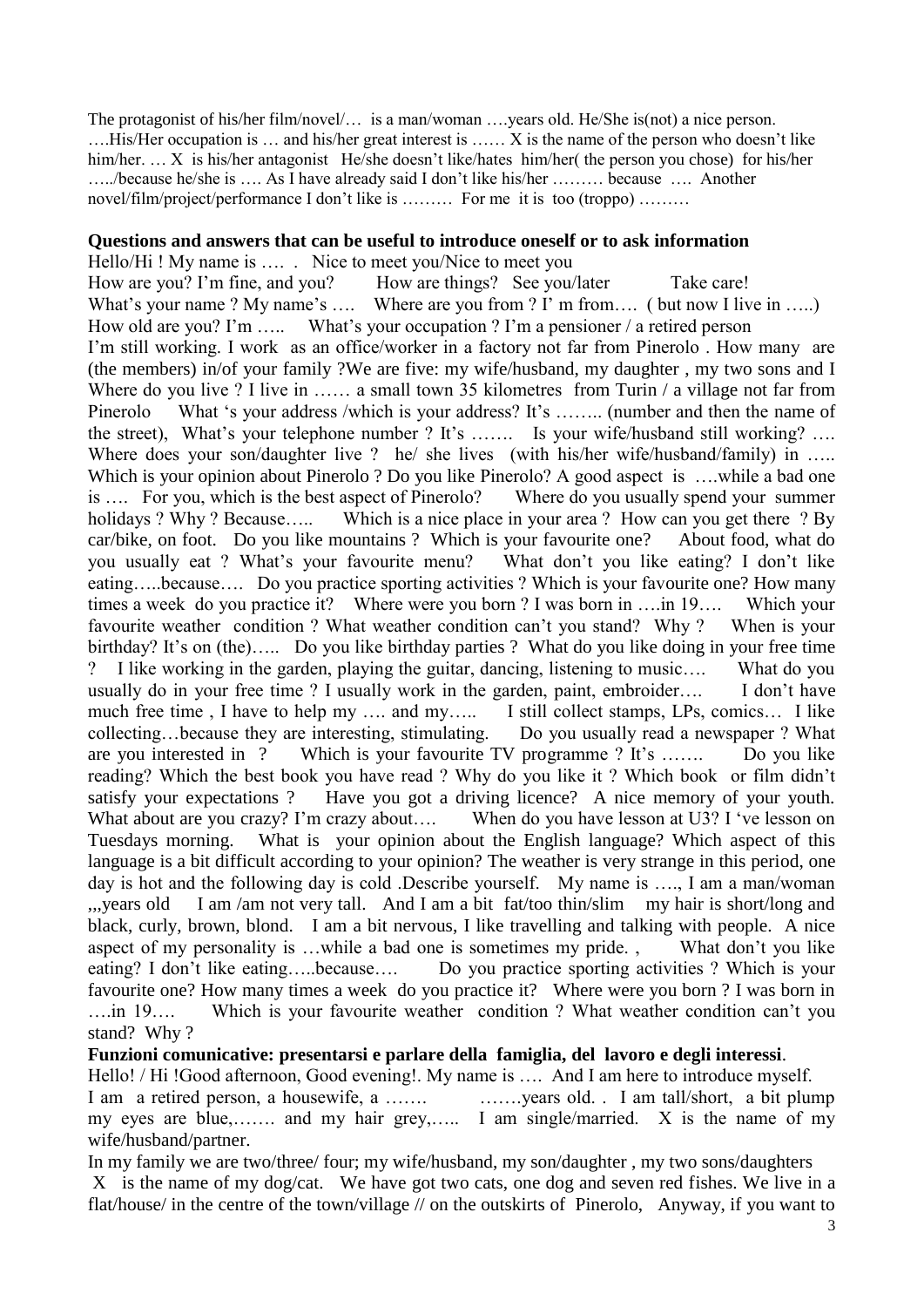The protagonist of his/her film/novel/… is a man/woman ….years old. He/She is(not) a nice person. ….His/Her occupation is … and his/her great interest is …… X is the name of the person who doesn't like him/her. … X is his/her antagonist He/she doesn't like/hates him/her( the person you chose) for his/her …../because he/she is …. As I have already said I don't like his/her ……… because …. Another novel/film/project/performance I don't like is ……… For me it is too (troppo) ………

#### **Questions and answers that can be useful to introduce oneself or to ask information**

Hello/Hi ! My name is .... . Nice to meet you/Nice to meet you How are you? I'm fine, and you? How are things? See you/later Take care! What's your name ? My name's .... Where are you from ? I' m from.... ( but now I live in .....) How old are you? I'm ….. What's your occupation ? I'm a pensioner / a retired person I'm still working. I work as an office/worker in a factory not far from Pinerolo . How many are (the members) in/of your family ?We are five: my wife/husband, my daughter , my two sons and I Where do you live ? I live in …… a small town 35 kilometres from Turin / a village not far from Pinerolo What 's your address /which is your address? It's …….. (number and then the name of the street), What's your telephone number ? It's ……. Is your wife/husband still working? …. Where does your son/daughter live ? he/ she lives (with his/her wife/husband/family) in ..... Which is your opinion about Pinerolo ? Do you like Pinerolo? A good aspect is ....while a bad one is …. For you, which is the best aspect of Pinerolo? Where do you usually spend your summer holidays ? Why ? Because….. Which is a nice place in your area ? How can you get there ? By car/bike, on foot. Do you like mountains ? Which is your favourite one? About food, what do you usually eat ? What's your favourite menu? What don't you like eating? I don't like eating…..because…. Do you practice sporting activities ? Which is your favourite one? How many times a week do you practice it? Where were you born ? I was born in ….in 19…. Which your favourite weather condition ? What weather condition can't you stand? Why ? When is your birthday? It's on (the)….. Do you like birthday parties ? What do you like doing in your free time ? I like working in the garden, playing the guitar, dancing, listening to music…. What do you usually do in your free time ? I usually work in the garden, paint, embroider…. I don't have much free time, I have to help my .... and my..... I still collect stamps, LPs, comics... I like collecting…because they are interesting, stimulating. Do you usually read a newspaper ? What are you interested in ? Which is your favourite TV programme ? It's ……. Do you like reading? Which the best book you have read ? Why do you like it ? Which book or film didn't satisfy your expectations ? Have you got a driving licence? A nice memory of your youth. What about are you crazy? I'm crazy about.... When do you have lesson at U3? I 've lesson on Tuesdays morning. What is your opinion about the English language? Which aspect of this language is a bit difficult according to your opinion? The weather is very strange in this period, one day is hot and the following day is cold .Describe yourself. My name is …., I am a man/woman ,,,years old I am /am not very tall. And I am a bit fat/too thin/slim my hair is short/long and black, curly, brown, blond. I am a bit nervous, I like travelling and talking with people. A nice aspect of my personality is …while a bad one is sometimes my pride. , What don't you like eating? I don't like eating…..because…. Do you practice sporting activities ? Which is your favourite one? How many times a week do you practice it? Where were you born ? I was born in ….in 19…. Which is your favourite weather condition ? What weather condition can't you stand? Why ?

### **Funzioni comunicative: presentarsi e parlare della famiglia, del lavoro e degli interessi**.

Hello! / Hi !Good afternoon, Good evening!. My name is .... And I am here to introduce myself. I am a retired person, a housewife, a ……. ……. vears old. I am tall/short, a bit plump my eyes are blue,……. and my hair grey,….. I am single/married. X is the name of my wife/husband/partner.

In my family we are two/three/ four; my wife/husband, my son/daughter , my two sons/daughters X is the name of my dog/cat. We have got two cats, one dog and seven red fishes. We live in a flat/house/ in the centre of the town/village // on the outskirts of Pinerolo, Anyway, if you want to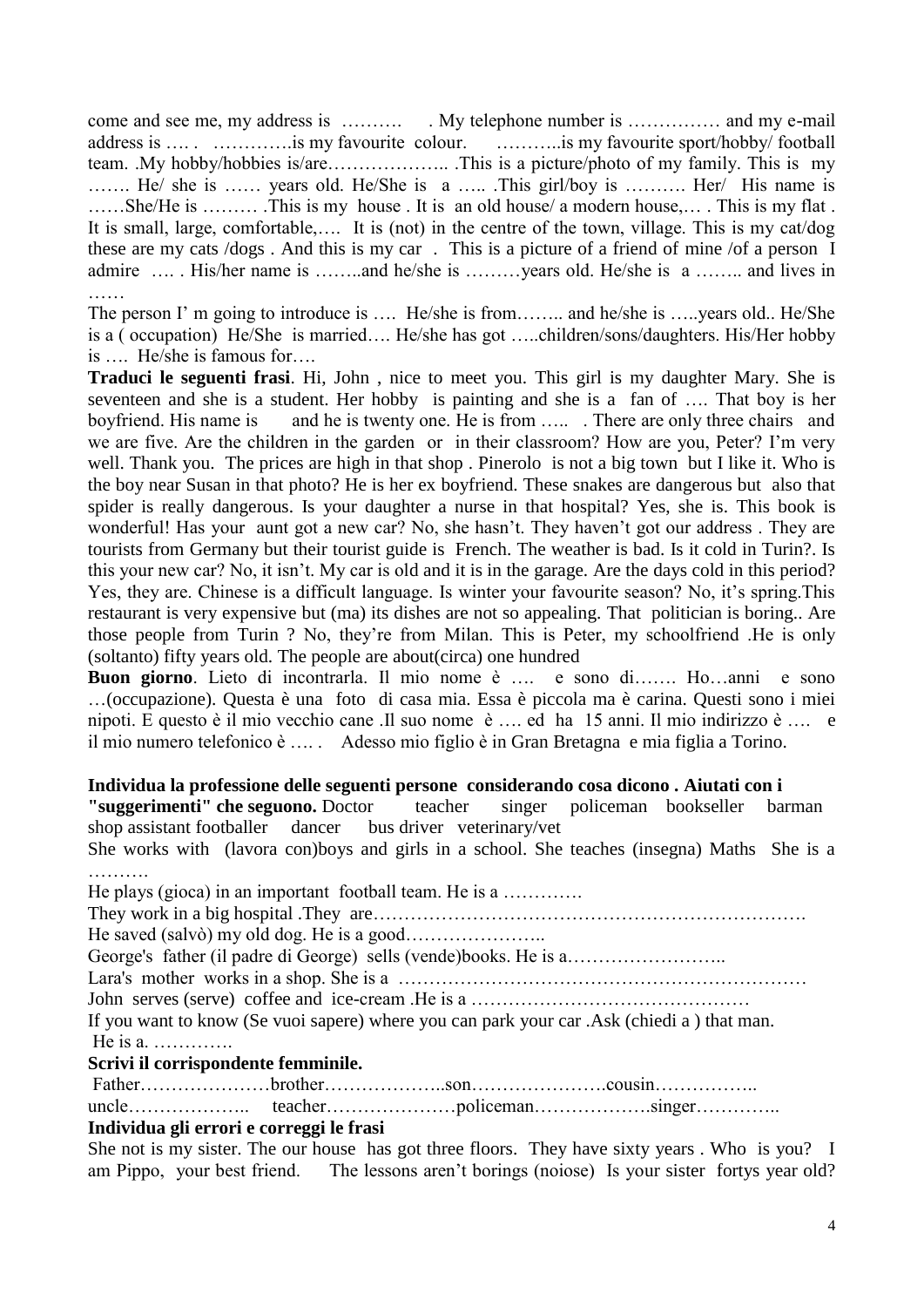come and see me, my address is ………... My telephone number is …………... and my e-mail address is ..... …………..is my favourite colour. ………..is my favourite sport/hobby/ football team. .My hobby/hobbies is/are……………….. .This is a picture/photo of my family. This is my ……. He/ she is …… years old. He/She is a ….. .This girl/boy is ………. Her/ His name is ……She/He is ……… .This is my house . It is an old house/ a modern house,… . This is my flat . It is small, large, comfortable,…. It is (not) in the centre of the town, village. This is my cat/dog these are my cats /dogs . And this is my car . This is a picture of a friend of mine /of a person I admire …. . His/her name is ……..and he/she is ………years old. He/she is a …….. and lives in ……

The person I' m going to introduce is .... He/she is from........ and he/she is .....years old.. He/She is a ( occupation) He/She is married…. He/she has got …..children/sons/daughters. His/Her hobby is …. He/she is famous for….

**Traduci le seguenti frasi**. Hi, John , nice to meet you. This girl is my daughter Mary. She is seventeen and she is a student. Her hobby is painting and she is a fan of …. That boy is her boyfriend. His name is and he is twenty one. He is from ....... There are only three chairs and we are five. Are the children in the garden or in their classroom? How are you, Peter? I'm very well. Thank you. The prices are high in that shop. Pinerolo is not a big town but I like it. Who is the boy near Susan in that photo? He is her ex boyfriend. These snakes are dangerous but also that spider is really dangerous. Is your daughter a nurse in that hospital? Yes, she is. This book is wonderful! Has your aunt got a new car? No, she hasn't. They haven't got our address . They are tourists from Germany but their tourist guide is French. The weather is bad. Is it cold in Turin?. Is this your new car? No, it isn't. My car is old and it is in the garage. Are the days cold in this period? Yes, they are. Chinese is a difficult language. Is winter your favourite season? No, it's spring.This restaurant is very expensive but (ma) its dishes are not so appealing. That politician is boring.. Are those people from Turin ? No, they're from Milan. This is Peter, my schoolfriend .He is only (soltanto) fifty years old. The people are about(circa) one hundred

**Buon giorno**. Lieto di incontrarla. Il mio nome è …. e sono di……. Ho…anni e sono …(occupazione). Questa è una foto di casa mia. Essa è piccola ma è carina. Questi sono i miei nipoti. E questo è il mio vecchio cane .Il suo nome è …. ed ha 15 anni. Il mio indirizzo è …. e il mio numero telefonico è …. . Adesso mio figlio è in Gran Bretagna e mia figlia a Torino.

### **Individua la professione delle seguenti persone considerando cosa dicono . Aiutati con i**

**"suggerimenti" che seguono.** Doctor teacher singer policeman bookseller barman shop assistant footballer dancer bus driver veterinary/vet

She works with (lavora con)boys and girls in a school. She teaches (insegna) Maths She is a ………

| He plays (gioca) in an important football team. He is a                                    |
|--------------------------------------------------------------------------------------------|
|                                                                                            |
|                                                                                            |
|                                                                                            |
|                                                                                            |
|                                                                                            |
| If you want to know (Se vuoi sapere) where you can park your car .Ask (chiedi a) that man. |
|                                                                                            |
| Scrivi il corrispondente femminile.                                                        |
|                                                                                            |
|                                                                                            |
| Individua gli errori e correggi le frasi                                                   |
|                                                                                            |

She not is my sister. The our house has got three floors. They have sixty years. Who is you? I am Pippo, your best friend. The lessons aren't borings (noiose) Is your sister fortys year old?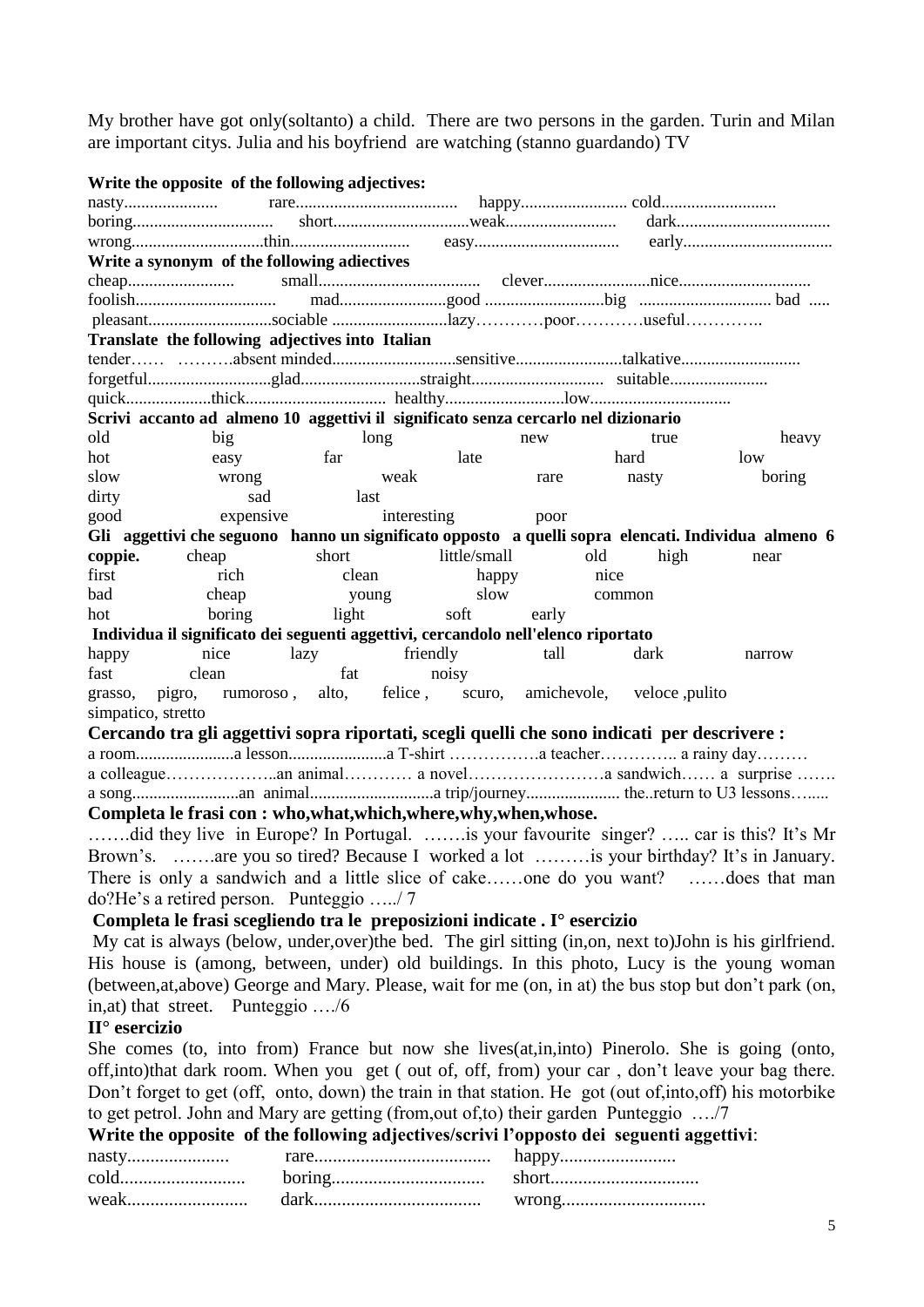My brother have got only(soltanto) a child. There are two persons in the garden. Turin and Milan are important citys. Julia and his boyfriend are watching (stanno guardando) TV

|                                                                                                           | Write the opposite of the following adjectives: |             |                                                                                                    |       |        |       |      |               |
|-----------------------------------------------------------------------------------------------------------|-------------------------------------------------|-------------|----------------------------------------------------------------------------------------------------|-------|--------|-------|------|---------------|
|                                                                                                           |                                                 |             |                                                                                                    |       |        |       |      |               |
|                                                                                                           |                                                 |             |                                                                                                    |       |        |       |      |               |
|                                                                                                           |                                                 |             |                                                                                                    |       |        |       |      |               |
|                                                                                                           | Write a synonym of the following adiectives     |             |                                                                                                    |       |        |       |      |               |
|                                                                                                           |                                                 |             |                                                                                                    |       |        |       |      |               |
|                                                                                                           |                                                 |             |                                                                                                    |       |        |       |      |               |
|                                                                                                           |                                                 |             |                                                                                                    |       |        |       |      |               |
|                                                                                                           | Translate the following adjectives into Italian |             |                                                                                                    |       |        |       |      |               |
|                                                                                                           |                                                 |             |                                                                                                    |       |        |       |      |               |
|                                                                                                           |                                                 |             |                                                                                                    |       |        |       |      |               |
|                                                                                                           |                                                 |             |                                                                                                    |       |        |       |      |               |
| old                                                                                                       | big                                             |             | Scrivi accanto ad almeno 10 aggettivi il significato senza cercarlo nel dizionario                 |       |        | true  |      |               |
| hot                                                                                                       | easy                                            | long<br>far | late                                                                                               | new   |        | hard  | low  | heavy         |
| slow                                                                                                      | wrong                                           |             | weak                                                                                               | rare  |        | nasty |      | boring        |
| dirty                                                                                                     | sad                                             | <b>last</b> |                                                                                                    |       |        |       |      |               |
| good                                                                                                      | expensive                                       |             | interesting                                                                                        | poor  |        |       |      |               |
|                                                                                                           |                                                 |             | Gli aggettivi che seguono hanno un significato opposto a quelli sopra elencati. Individua almeno 6 |       |        |       |      |               |
| coppie.                                                                                                   | cheap                                           | short       | little/small                                                                                       |       | old    | high  | near |               |
| first                                                                                                     | rich                                            | clean       | happy                                                                                              |       | nice   |       |      |               |
| bad                                                                                                       | cheap                                           | young       | slow                                                                                               |       | common |       |      |               |
| hot                                                                                                       | boring                                          | light       | soft                                                                                               | early |        |       |      |               |
|                                                                                                           |                                                 |             | Individua il significato dei seguenti aggettivi, cercandolo nell'elenco riportato                  |       |        |       |      |               |
| happy                                                                                                     | nice                                            | lazy        | friendly                                                                                           | tall  |        | dark  |      | narrow        |
| fast                                                                                                      | clean                                           | fat         | noisy                                                                                              |       |        |       |      |               |
| grasso, pigro, rumoroso, alto, felice, scuro, amichevole, veloce, pulito<br>simpatico, stretto            |                                                 |             |                                                                                                    |       |        |       |      |               |
|                                                                                                           |                                                 |             | Cercando tra gli aggettivi sopra riportati, scegli quelli che sono indicati per descrivere :       |       |        |       |      |               |
|                                                                                                           |                                                 |             |                                                                                                    |       |        |       |      |               |
|                                                                                                           |                                                 |             |                                                                                                    |       |        |       |      |               |
|                                                                                                           |                                                 |             |                                                                                                    |       |        |       |      |               |
|                                                                                                           |                                                 |             | Completa le frasi con : who, what, which, where, why, when, whose.                                 |       |        |       |      |               |
|                                                                                                           |                                                 |             | did they live in Europe? In Portugal. is your favourite singer?  car is this? It's Mr              |       |        |       |      |               |
|                                                                                                           |                                                 |             | Brown's. are you so tired? Because I worked a lot is your birthday? It's in January.               |       |        |       |      |               |
|                                                                                                           |                                                 |             | There is only a sandwich and a little slice of cakeone do you want?                                |       |        |       |      | does that man |
|                                                                                                           | do?He's a retired person. Punteggio /7          |             |                                                                                                    |       |        |       |      |               |
|                                                                                                           |                                                 |             | Completa le frasi scegliendo tra le preposizioni indicate. I <sup>°</sup> esercizio                |       |        |       |      |               |
| My cat is always (below, under, over) the bed. The girl sitting (in, on, next to) John is his girlfriend. |                                                 |             |                                                                                                    |       |        |       |      |               |
| His house is (among, between, under) old buildings. In this photo, Lucy is the young woman                |                                                 |             |                                                                                                    |       |        |       |      |               |
| (between, at, above) George and Mary. Please, wait for me (on, in at) the bus stop but don't park (on,    |                                                 |             |                                                                                                    |       |        |       |      |               |
| in, at that street. Punteggio  /6                                                                         |                                                 |             |                                                                                                    |       |        |       |      |               |
| $II^{\circ}$ esercizio                                                                                    |                                                 |             |                                                                                                    |       |        |       |      |               |
| She comes (to, into from) France but now she lives (at, in, into) Pinerolo. She is going (onto,           |                                                 |             |                                                                                                    |       |        |       |      |               |
| off, into) that dark room. When you get (out of, off, from) your car, don't leave your bag there.         |                                                 |             |                                                                                                    |       |        |       |      |               |
| Don't forget to get (off, onto, down) the train in that station. He got (out of, into, off) his motorbike |                                                 |             |                                                                                                    |       |        |       |      |               |
|                                                                                                           |                                                 |             |                                                                                                    |       |        |       |      |               |
| to get petrol. John and Mary are getting (from, out of, to) their garden Punteggio /7                     |                                                 |             |                                                                                                    |       |        |       |      |               |

### **Write the opposite of the following adjectives/scrivi l'opposto dei seguenti aggettivi**: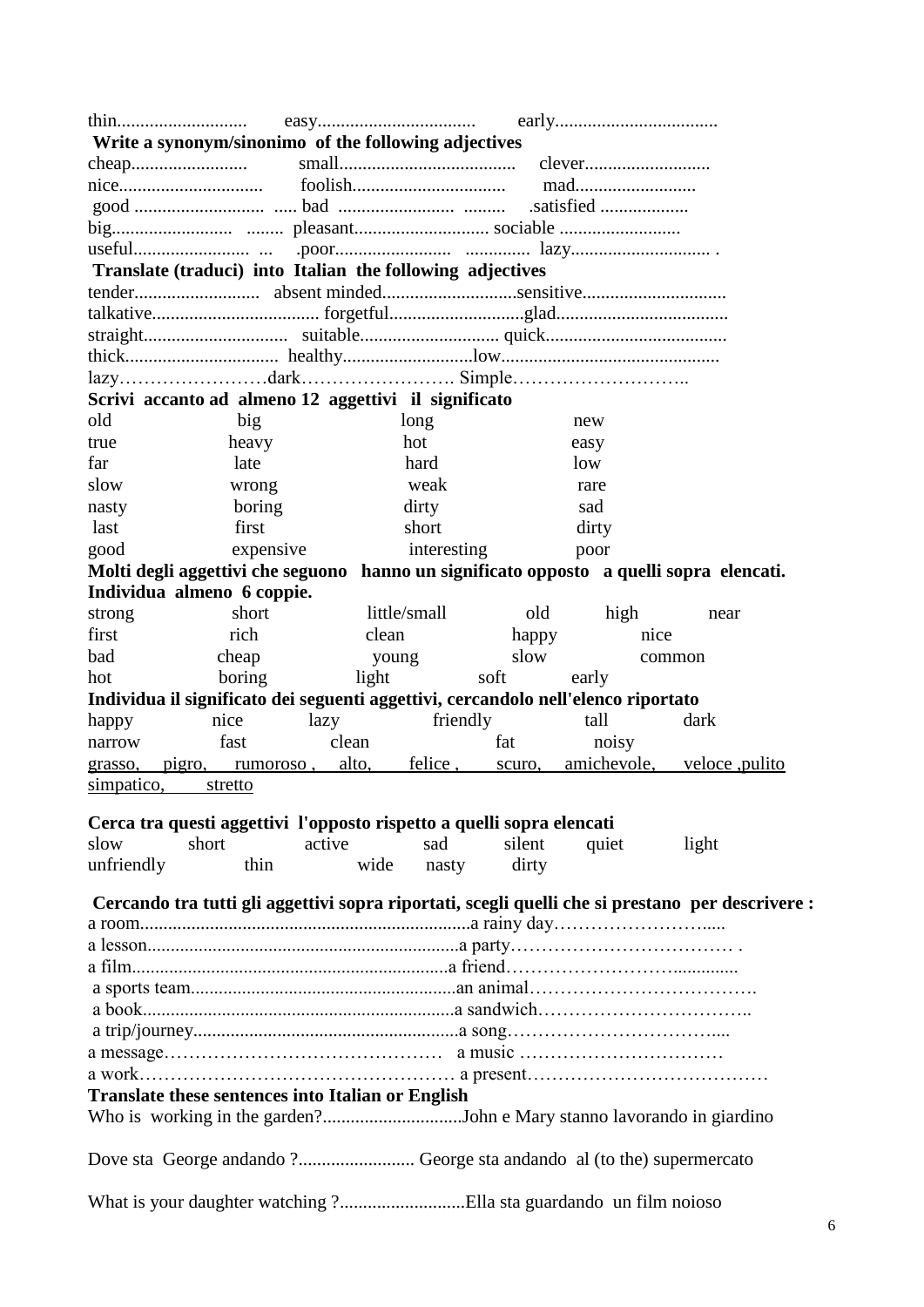| Write a synonym/sinonimo of the following adjectives                                                                              |                  |        |              |        |             |                                                                                                  |
|-----------------------------------------------------------------------------------------------------------------------------------|------------------|--------|--------------|--------|-------------|--------------------------------------------------------------------------------------------------|
|                                                                                                                                   |                  |        |              |        |             |                                                                                                  |
|                                                                                                                                   | mad              |        |              |        |             |                                                                                                  |
|                                                                                                                                   |                  |        |              |        |             |                                                                                                  |
|                                                                                                                                   |                  |        |              |        |             |                                                                                                  |
|                                                                                                                                   |                  |        |              |        |             |                                                                                                  |
| Translate (traduci) into Italian the following adjectives                                                                         |                  |        |              |        |             |                                                                                                  |
|                                                                                                                                   |                  |        |              |        |             |                                                                                                  |
|                                                                                                                                   |                  |        |              |        |             |                                                                                                  |
|                                                                                                                                   |                  |        |              |        |             |                                                                                                  |
|                                                                                                                                   |                  |        |              |        |             |                                                                                                  |
|                                                                                                                                   |                  |        |              |        |             |                                                                                                  |
| Scrivi accanto ad almeno 12 aggettivi il significato                                                                              |                  |        |              |        |             |                                                                                                  |
| old                                                                                                                               | big              |        | long         |        | new         |                                                                                                  |
| true                                                                                                                              | heavy            |        | hot          |        | easy        |                                                                                                  |
| far                                                                                                                               | late             |        | hard         |        | low         |                                                                                                  |
| slow                                                                                                                              | wrong            |        | weak         |        | rare        |                                                                                                  |
| nasty                                                                                                                             | boring           |        | dirty        |        | sad         |                                                                                                  |
| last                                                                                                                              | first            |        | short        |        | dirty       |                                                                                                  |
| good                                                                                                                              | expensive        |        | interesting  |        | poor        |                                                                                                  |
| Molti degli aggettivi che seguono hanno un significato opposto a quelli sopra elencati.                                           |                  |        |              |        |             |                                                                                                  |
| Individua almeno 6 coppie.                                                                                                        |                  |        |              |        |             |                                                                                                  |
| strong                                                                                                                            | short            |        | little/small | old    | high        | near                                                                                             |
| first                                                                                                                             | rich             | clean  |              | happy  | nice        |                                                                                                  |
| bad                                                                                                                               | cheap            | young  |              | slow   |             | common                                                                                           |
| hot                                                                                                                               | boring           | light  |              | soft   | early       |                                                                                                  |
| Individua il significato dei seguenti aggettivi, cercandolo nell'elenco riportato                                                 |                  |        |              |        |             |                                                                                                  |
| happy                                                                                                                             | nice             | lazy   | friendly     |        | tall        | dark                                                                                             |
| narrow                                                                                                                            | fast             | clean  |              | fat    | noisy       |                                                                                                  |
| grasso,                                                                                                                           | pigro, rumoroso, | alto,  | felice,      | scuro, | amichevole, | veloce, pulito                                                                                   |
| simpatico,                                                                                                                        | stretto          |        |              |        |             |                                                                                                  |
| Cerca tra questi aggettivi l'opposto rispetto a quelli sopra elencati                                                             |                  |        |              |        |             |                                                                                                  |
| slow                                                                                                                              | short            | active | sad          | silent | quiet       | light                                                                                            |
| unfriendly                                                                                                                        | thin             | wide   | nasty        | dirty  |             |                                                                                                  |
|                                                                                                                                   |                  |        |              |        |             |                                                                                                  |
|                                                                                                                                   |                  |        |              |        |             | Cercando tra tutti gli aggettivi sopra riportati, scegli quelli che si prestano per descrivere : |
|                                                                                                                                   |                  |        |              |        |             |                                                                                                  |
|                                                                                                                                   |                  |        |              |        |             |                                                                                                  |
|                                                                                                                                   |                  |        |              |        |             |                                                                                                  |
|                                                                                                                                   |                  |        |              |        |             |                                                                                                  |
|                                                                                                                                   |                  |        |              |        |             |                                                                                                  |
|                                                                                                                                   |                  |        |              |        |             |                                                                                                  |
|                                                                                                                                   |                  |        |              |        |             |                                                                                                  |
|                                                                                                                                   |                  |        |              |        |             |                                                                                                  |
| <b>Translate these sentences into Italian or English</b><br>Who is working in the garden?John e Mary stanno lavorando in giardino |                  |        |              |        |             |                                                                                                  |
|                                                                                                                                   |                  |        |              |        |             |                                                                                                  |
|                                                                                                                                   |                  |        |              |        |             |                                                                                                  |